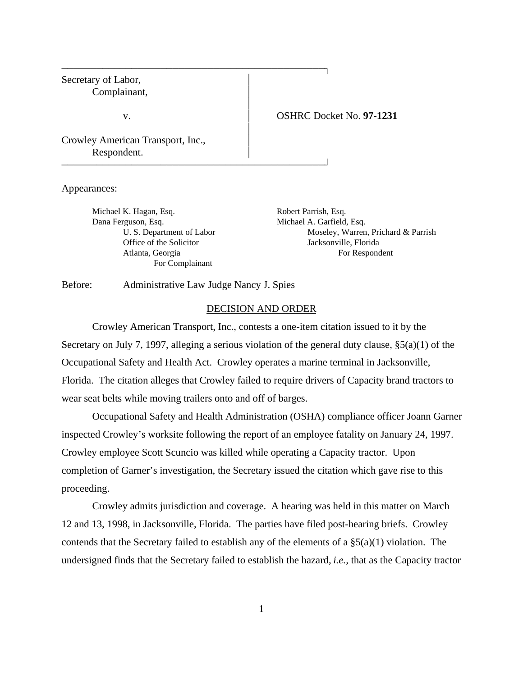Secretary of Labor, Complainant,

### v. OSHRC Docket No. **97-1231**

Crowley American Transport, Inc., Respondent.

Appearances:

Michael K. Hagan, Esq. Robert Parrish, Esq. Dana Ferguson, Esq. **Michael A. Garfield, Esq.** Michael A. Garfield, Esq. For Complainant

U. S. Department of Labor Moseley, Warren, Prichard & Parrish Office of the Solicitor Jacksonville, Florida Atlanta, Georgia For Respondent

Before: Administrative Law Judge Nancy J. Spies

 

 

### DECISION AND ORDER

 $\overline{1}$ 

 $\overline{1}$ 

Crowley American Transport, Inc., contests a one-item citation issued to it by the Secretary on July 7, 1997, alleging a serious violation of the general duty clause, §5(a)(1) of the Occupational Safety and Health Act. Crowley operates a marine terminal in Jacksonville, Florida. The citation alleges that Crowley failed to require drivers of Capacity brand tractors to wear seat belts while moving trailers onto and off of barges.

Occupational Safety and Health Administration (OSHA) compliance officer Joann Garner inspected Crowley's worksite following the report of an employee fatality on January 24, 1997. Crowley employee Scott Scuncio was killed while operating a Capacity tractor. Upon completion of Garner's investigation, the Secretary issued the citation which gave rise to this proceeding.

Crowley admits jurisdiction and coverage. A hearing was held in this matter on March 12 and 13, 1998, in Jacksonville, Florida. The parties have filed post-hearing briefs. Crowley contends that the Secretary failed to establish any of the elements of a §5(a)(1) violation. The undersigned finds that the Secretary failed to establish the hazard, *i.e.,* that as the Capacity tractor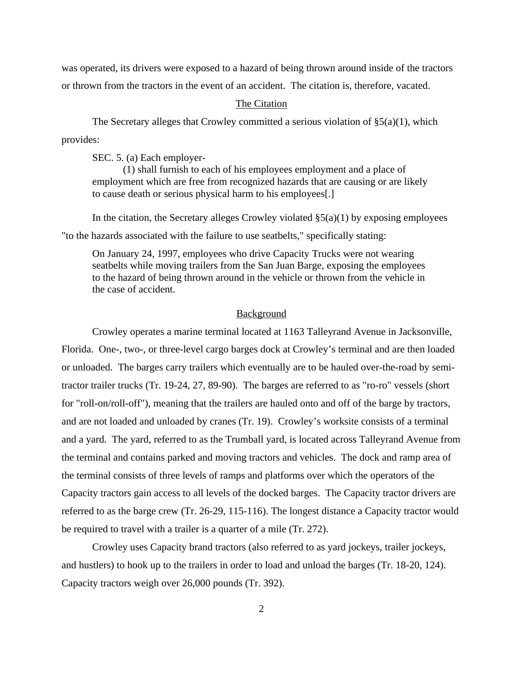was operated, its drivers were exposed to a hazard of being thrown around inside of the tractors or thrown from the tractors in the event of an accident. The citation is, therefore, vacated.

### The Citation

The Secretary alleges that Crowley committed a serious violation of  $\S(2a)(1)$ , which provides:

SEC. 5. (a) Each employer-

(1) shall furnish to each of his employees employment and a place of employment which are free from recognized hazards that are causing or are likely to cause death or serious physical harm to his employees[.]

In the citation, the Secretary alleges Crowley violated  $\S(2a)(1)$  by exposing employees "to the hazards associated with the failure to use seatbelts," specifically stating:

On January 24, 1997, employees who drive Capacity Trucks were not wearing seatbelts while moving trailers from the San Juan Barge, exposing the employees to the hazard of being thrown around in the vehicle or thrown from the vehicle in the case of accident.

### Background

Crowley operates a marine terminal located at 1163 Talleyrand Avenue in Jacksonville, Florida. One-, two-, or three-level cargo barges dock at Crowley's terminal and are then loaded or unloaded. The barges carry trailers which eventually are to be hauled over-the-road by semitractor trailer trucks (Tr. 19-24, 27, 89-90). The barges are referred to as "ro-ro" vessels (short for "roll-on/roll-off"), meaning that the trailers are hauled onto and off of the barge by tractors, and are not loaded and unloaded by cranes (Tr. 19). Crowley's worksite consists of a terminal and a yard. The yard, referred to as the Trumball yard, is located across Talleyrand Avenue from the terminal and contains parked and moving tractors and vehicles. The dock and ramp area of the terminal consists of three levels of ramps and platforms over which the operators of the Capacity tractors gain access to all levels of the docked barges. The Capacity tractor drivers are referred to as the barge crew (Tr. 26-29, 115-116). The longest distance a Capacity tractor would be required to travel with a trailer is a quarter of a mile (Tr. 272).

Crowley uses Capacity brand tractors (also referred to as yard jockeys, trailer jockeys, and hustlers) to hook up to the trailers in order to load and unload the barges (Tr. 18-20, 124). Capacity tractors weigh over 26,000 pounds (Tr. 392).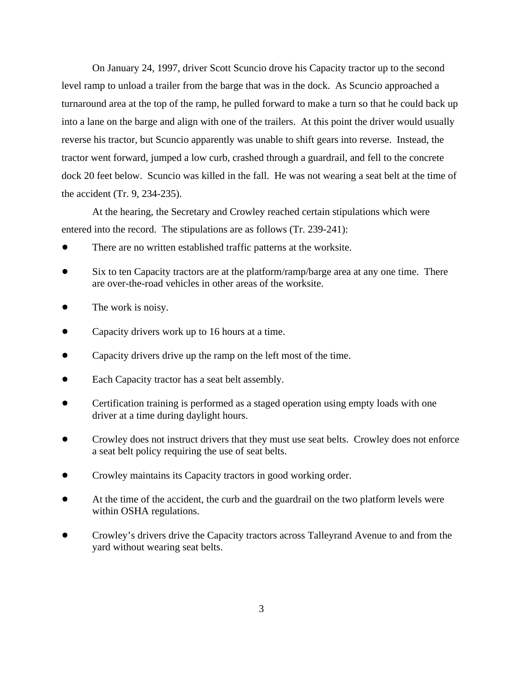On January 24, 1997, driver Scott Scuncio drove his Capacity tractor up to the second level ramp to unload a trailer from the barge that was in the dock. As Scuncio approached a turnaround area at the top of the ramp, he pulled forward to make a turn so that he could back up into a lane on the barge and align with one of the trailers. At this point the driver would usually reverse his tractor, but Scuncio apparently was unable to shift gears into reverse. Instead, the tractor went forward, jumped a low curb, crashed through a guardrail, and fell to the concrete dock 20 feet below. Scuncio was killed in the fall. He was not wearing a seat belt at the time of the accident (Tr. 9, 234-235).

At the hearing, the Secretary and Crowley reached certain stipulations which were entered into the record. The stipulations are as follows (Tr. 239-241):

- There are no written established traffic patterns at the worksite.
- Six to ten Capacity tractors are at the platform/ramp/barge area at any one time. There are over-the-road vehicles in other areas of the worksite.
- The work is noisy.
- Capacity drivers work up to 16 hours at a time.
- Capacity drivers drive up the ramp on the left most of the time.
- Each Capacity tractor has a seat belt assembly.
- Certification training is performed as a staged operation using empty loads with one driver at a time during daylight hours.
- Crowley does not instruct drivers that they must use seat belts. Crowley does not enforce a seat belt policy requiring the use of seat belts.
- Crowley maintains its Capacity tractors in good working order.
- At the time of the accident, the curb and the guardrail on the two platform levels were within OSHA regulations.
- Crowley's drivers drive the Capacity tractors across Talleyrand Avenue to and from the yard without wearing seat belts.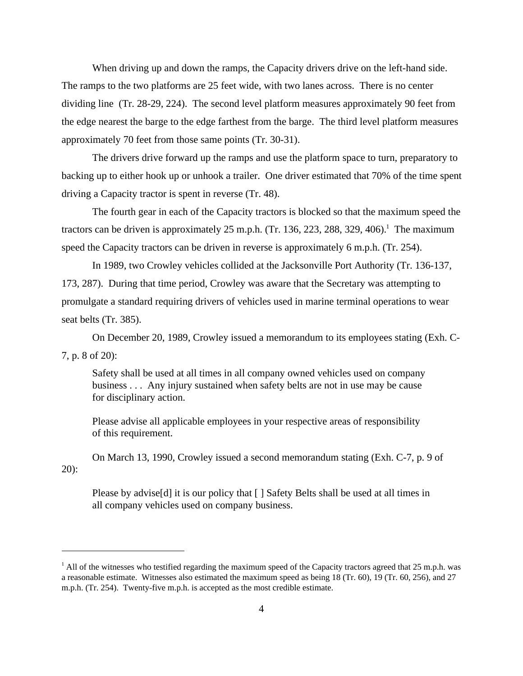When driving up and down the ramps, the Capacity drivers drive on the left-hand side. The ramps to the two platforms are 25 feet wide, with two lanes across. There is no center dividing line (Tr. 28-29, 224). The second level platform measures approximately 90 feet from the edge nearest the barge to the edge farthest from the barge. The third level platform measures approximately 70 feet from those same points (Tr. 30-31).

The drivers drive forward up the ramps and use the platform space to turn, preparatory to backing up to either hook up or unhook a trailer. One driver estimated that 70% of the time spent driving a Capacity tractor is spent in reverse (Tr. 48).

The fourth gear in each of the Capacity tractors is blocked so that the maximum speed the tractors can be driven is approximately 25 m.p.h. (Tr. 136, 223, 288, 329, 406).<sup>1</sup> The maximum speed the Capacity tractors can be driven in reverse is approximately 6 m.p.h. (Tr. 254).

In 1989, two Crowley vehicles collided at the Jacksonville Port Authority (Tr. 136-137, 173, 287). During that time period, Crowley was aware that the Secretary was attempting to promulgate a standard requiring drivers of vehicles used in marine terminal operations to wear seat belts (Tr. 385).

On December 20, 1989, Crowley issued a memorandum to its employees stating (Exh. C-

7, p. 8 of 20):

Safety shall be used at all times in all company owned vehicles used on company business . . . Any injury sustained when safety belts are not in use may be cause for disciplinary action.

Please advise all applicable employees in your respective areas of responsibility of this requirement.

On March 13, 1990, Crowley issued a second memorandum stating (Exh. C-7, p. 9 of 20):

Please by advise[d] it is our policy that [ ] Safety Belts shall be used at all times in all company vehicles used on company business.

 $1$  All of the witnesses who testified regarding the maximum speed of the Capacity tractors agreed that 25 m.p.h. was a reasonable estimate. Witnesses also estimated the maximum speed as being 18 (Tr. 60), 19 (Tr. 60, 256), and 27 m.p.h. (Tr. 254). Twenty-five m.p.h. is accepted as the most credible estimate.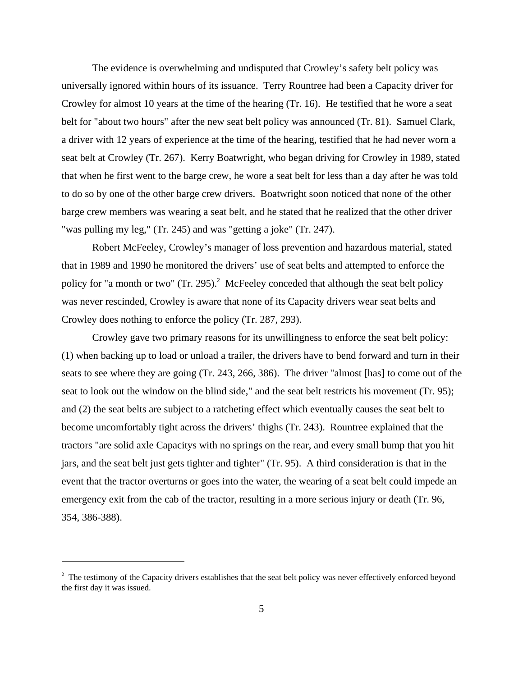The evidence is overwhelming and undisputed that Crowley's safety belt policy was universally ignored within hours of its issuance. Terry Rountree had been a Capacity driver for Crowley for almost 10 years at the time of the hearing (Tr. 16). He testified that he wore a seat belt for "about two hours" after the new seat belt policy was announced (Tr. 81). Samuel Clark, a driver with 12 years of experience at the time of the hearing, testified that he had never worn a seat belt at Crowley (Tr. 267). Kerry Boatwright, who began driving for Crowley in 1989, stated that when he first went to the barge crew, he wore a seat belt for less than a day after he was told to do so by one of the other barge crew drivers. Boatwright soon noticed that none of the other barge crew members was wearing a seat belt, and he stated that he realized that the other driver "was pulling my leg," (Tr. 245) and was "getting a joke" (Tr. 247).

Robert McFeeley, Crowley's manager of loss prevention and hazardous material, stated that in 1989 and 1990 he monitored the drivers' use of seat belts and attempted to enforce the policy for "a month or two" (Tr. 295).<sup>2</sup> McFeeley conceded that although the seat belt policy was never rescinded, Crowley is aware that none of its Capacity drivers wear seat belts and Crowley does nothing to enforce the policy (Tr. 287, 293).

Crowley gave two primary reasons for its unwillingness to enforce the seat belt policy: (1) when backing up to load or unload a trailer, the drivers have to bend forward and turn in their seats to see where they are going (Tr. 243, 266, 386). The driver "almost [has] to come out of the seat to look out the window on the blind side," and the seat belt restricts his movement (Tr. 95); and (2) the seat belts are subject to a ratcheting effect which eventually causes the seat belt to become uncomfortably tight across the drivers' thighs (Tr. 243). Rountree explained that the tractors "are solid axle Capacitys with no springs on the rear, and every small bump that you hit jars, and the seat belt just gets tighter and tighter" (Tr. 95). A third consideration is that in the event that the tractor overturns or goes into the water, the wearing of a seat belt could impede an emergency exit from the cab of the tractor, resulting in a more serious injury or death (Tr. 96, 354, 386-388).

 $2$  The testimony of the Capacity drivers establishes that the seat belt policy was never effectively enforced beyond the first day it was issued.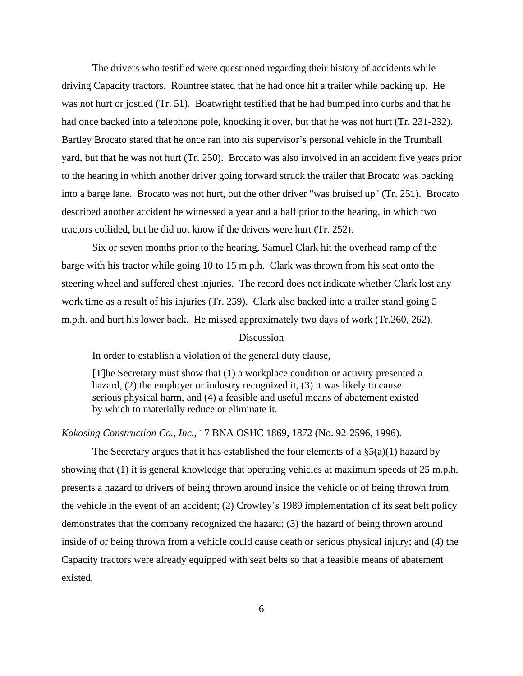The drivers who testified were questioned regarding their history of accidents while driving Capacity tractors. Rountree stated that he had once hit a trailer while backing up. He was not hurt or jostled (Tr. 51). Boatwright testified that he had bumped into curbs and that he had once backed into a telephone pole, knocking it over, but that he was not hurt (Tr. 231-232). Bartley Brocato stated that he once ran into his supervisor's personal vehicle in the Trumball yard, but that he was not hurt (Tr. 250). Brocato was also involved in an accident five years prior to the hearing in which another driver going forward struck the trailer that Brocato was backing into a barge lane. Brocato was not hurt, but the other driver "was bruised up" (Tr. 251). Brocato described another accident he witnessed a year and a half prior to the hearing, in which two tractors collided, but he did not know if the drivers were hurt (Tr. 252).

Six or seven months prior to the hearing, Samuel Clark hit the overhead ramp of the barge with his tractor while going 10 to 15 m.p.h. Clark was thrown from his seat onto the steering wheel and suffered chest injuries. The record does not indicate whether Clark lost any work time as a result of his injuries (Tr. 259). Clark also backed into a trailer stand going 5 m.p.h. and hurt his lower back. He missed approximately two days of work (Tr.260, 262).

### Discussion

In order to establish a violation of the general duty clause,

[T]he Secretary must show that (1) a workplace condition or activity presented a hazard, (2) the employer or industry recognized it, (3) it was likely to cause serious physical harm, and (4) a feasible and useful means of abatement existed by which to materially reduce or eliminate it.

*Kokosing Construction Co., Inc.,* 17 BNA OSHC 1869, 1872 (No. 92-2596, 1996).

The Secretary argues that it has established the four elements of a  $\S(2a)(1)$  hazard by showing that (1) it is general knowledge that operating vehicles at maximum speeds of 25 m.p.h. presents a hazard to drivers of being thrown around inside the vehicle or of being thrown from the vehicle in the event of an accident; (2) Crowley's 1989 implementation of its seat belt policy demonstrates that the company recognized the hazard; (3) the hazard of being thrown around inside of or being thrown from a vehicle could cause death or serious physical injury; and (4) the Capacity tractors were already equipped with seat belts so that a feasible means of abatement existed.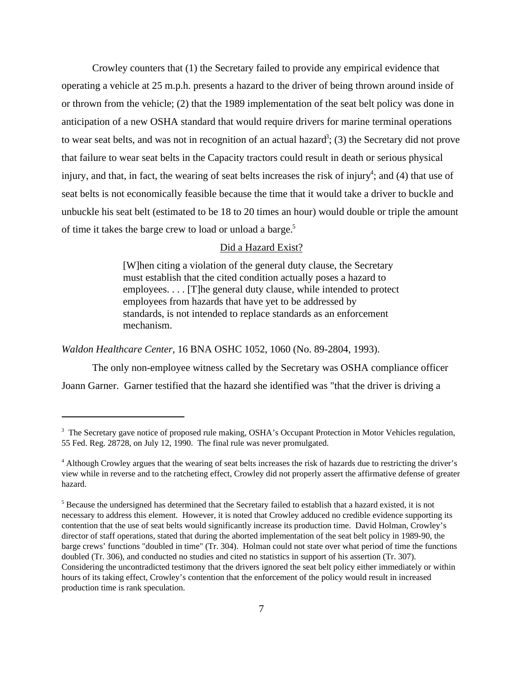Crowley counters that (1) the Secretary failed to provide any empirical evidence that operating a vehicle at 25 m.p.h. presents a hazard to the driver of being thrown around inside of or thrown from the vehicle; (2) that the 1989 implementation of the seat belt policy was done in anticipation of a new OSHA standard that would require drivers for marine terminal operations to wear seat belts, and was not in recognition of an actual hazard<sup>3</sup>; (3) the Secretary did not prove that failure to wear seat belts in the Capacity tractors could result in death or serious physical injury, and that, in fact, the wearing of seat belts increases the risk of injury<sup>4</sup>; and (4) that use of seat belts is not economically feasible because the time that it would take a driver to buckle and unbuckle his seat belt (estimated to be 18 to 20 times an hour) would double or triple the amount of time it takes the barge crew to load or unload a barge.<sup>5</sup>

### Did a Hazard Exist?

[W]hen citing a violation of the general duty clause, the Secretary must establish that the cited condition actually poses a hazard to employees. . . . [T]he general duty clause, while intended to protect employees from hazards that have yet to be addressed by standards, is not intended to replace standards as an enforcement mechanism.

*Waldon Healthcare Center,* 16 BNA OSHC 1052, 1060 (No. 89-2804, 1993).

The only non-employee witness called by the Secretary was OSHA compliance officer Joann Garner. Garner testified that the hazard she identified was "that the driver is driving a

<sup>&</sup>lt;sup>3</sup> The Secretary gave notice of proposed rule making, OSHA's Occupant Protection in Motor Vehicles regulation, 55 Fed. Reg. 28728, on July 12, 1990. The final rule was never promulgated.

<sup>&</sup>lt;sup>4</sup> Although Crowley argues that the wearing of seat belts increases the risk of hazards due to restricting the driver's view while in reverse and to the ratcheting effect, Crowley did not properly assert the affirmative defense of greater hazard.

 $<sup>5</sup>$  Because the undersigned has determined that the Secretary failed to establish that a hazard existed, it is not</sup> necessary to address this element. However, it is noted that Crowley adduced no credible evidence supporting its contention that the use of seat belts would significantly increase its production time. David Holman, Crowley's director of staff operations, stated that during the aborted implementation of the seat belt policy in 1989-90, the barge crews' functions "doubled in time" (Tr. 304). Holman could not state over what period of time the functions doubled (Tr. 306), and conducted no studies and cited no statistics in support of his assertion (Tr. 307). Considering the uncontradicted testimony that the drivers ignored the seat belt policy either immediately or within hours of its taking effect, Crowley's contention that the enforcement of the policy would result in increased production time is rank speculation.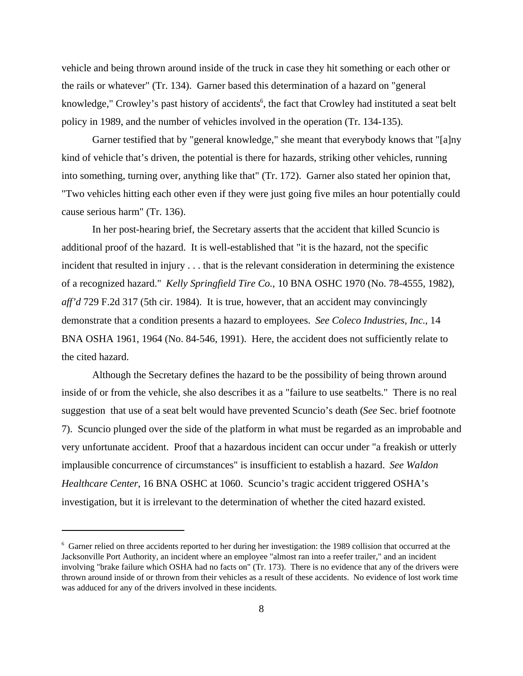vehicle and being thrown around inside of the truck in case they hit something or each other or the rails or whatever" (Tr. 134). Garner based this determination of a hazard on "general knowledge," Crowley's past history of accidents<sup>6</sup>, the fact that Crowley had instituted a seat belt policy in 1989, and the number of vehicles involved in the operation (Tr. 134-135).

Garner testified that by "general knowledge," she meant that everybody knows that "[a]ny kind of vehicle that's driven, the potential is there for hazards, striking other vehicles, running into something, turning over, anything like that" (Tr. 172). Garner also stated her opinion that, "Two vehicles hitting each other even if they were just going five miles an hour potentially could cause serious harm" (Tr. 136).

In her post-hearing brief, the Secretary asserts that the accident that killed Scuncio is additional proof of the hazard. It is well-established that "it is the hazard, not the specific incident that resulted in injury . . . that is the relevant consideration in determining the existence of a recognized hazard." *Kelly Springfield Tire Co.,* 10 BNA OSHC 1970 (No. 78-4555, 1982), *aff'd* 729 F.2d 317 (5th cir. 1984). It is true, however, that an accident may convincingly demonstrate that a condition presents a hazard to employees. *See Coleco Industries, Inc*., 14 BNA OSHA 1961, 1964 (No. 84-546, 1991). Here, the accident does not sufficiently relate to the cited hazard.

Although the Secretary defines the hazard to be the possibility of being thrown around inside of or from the vehicle, she also describes it as a "failure to use seatbelts." There is no real suggestion that use of a seat belt would have prevented Scuncio's death (*See* Sec. brief footnote 7). Scuncio plunged over the side of the platform in what must be regarded as an improbable and very unfortunate accident. Proof that a hazardous incident can occur under "a freakish or utterly implausible concurrence of circumstances" is insufficient to establish a hazard. *See Waldon Healthcare Center*, 16 BNA OSHC at 1060. Scuncio's tragic accident triggered OSHA's investigation, but it is irrelevant to the determination of whether the cited hazard existed.

<sup>&</sup>lt;sup>6</sup> Garner relied on three accidents reported to her during her investigation: the 1989 collision that occurred at the Jacksonville Port Authority, an incident where an employee "almost ran into a reefer trailer," and an incident involving "brake failure which OSHA had no facts on" (Tr. 173). There is no evidence that any of the drivers were thrown around inside of or thrown from their vehicles as a result of these accidents. No evidence of lost work time was adduced for any of the drivers involved in these incidents.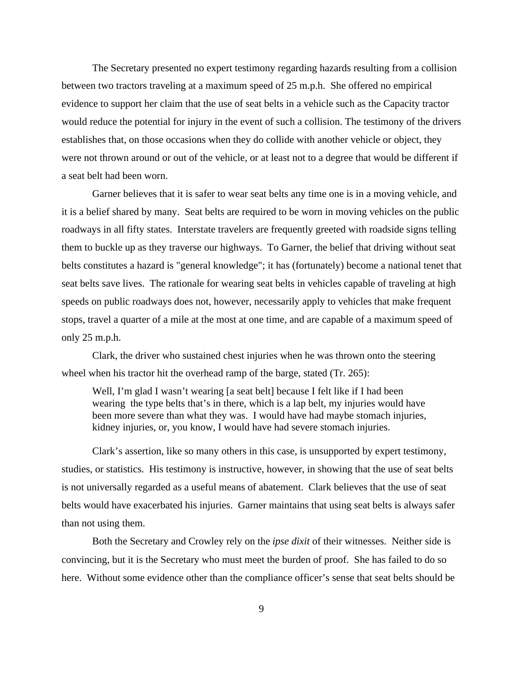The Secretary presented no expert testimony regarding hazards resulting from a collision between two tractors traveling at a maximum speed of 25 m.p.h. She offered no empirical evidence to support her claim that the use of seat belts in a vehicle such as the Capacity tractor would reduce the potential for injury in the event of such a collision. The testimony of the drivers establishes that, on those occasions when they do collide with another vehicle or object, they were not thrown around or out of the vehicle, or at least not to a degree that would be different if a seat belt had been worn.

Garner believes that it is safer to wear seat belts any time one is in a moving vehicle, and it is a belief shared by many. Seat belts are required to be worn in moving vehicles on the public roadways in all fifty states. Interstate travelers are frequently greeted with roadside signs telling them to buckle up as they traverse our highways. To Garner, the belief that driving without seat belts constitutes a hazard is "general knowledge"; it has (fortunately) become a national tenet that seat belts save lives. The rationale for wearing seat belts in vehicles capable of traveling at high speeds on public roadways does not, however, necessarily apply to vehicles that make frequent stops, travel a quarter of a mile at the most at one time, and are capable of a maximum speed of only 25 m.p.h.

Clark, the driver who sustained chest injuries when he was thrown onto the steering wheel when his tractor hit the overhead ramp of the barge, stated (Tr. 265):

Well, I'm glad I wasn't wearing [a seat belt] because I felt like if I had been wearing the type belts that's in there, which is a lap belt, my injuries would have been more severe than what they was. I would have had maybe stomach injuries, kidney injuries, or, you know, I would have had severe stomach injuries.

Clark's assertion, like so many others in this case, is unsupported by expert testimony, studies, or statistics. His testimony is instructive, however, in showing that the use of seat belts is not universally regarded as a useful means of abatement. Clark believes that the use of seat belts would have exacerbated his injuries. Garner maintains that using seat belts is always safer than not using them.

Both the Secretary and Crowley rely on the *ipse dixit* of their witnesses. Neither side is convincing, but it is the Secretary who must meet the burden of proof. She has failed to do so here. Without some evidence other than the compliance officer's sense that seat belts should be